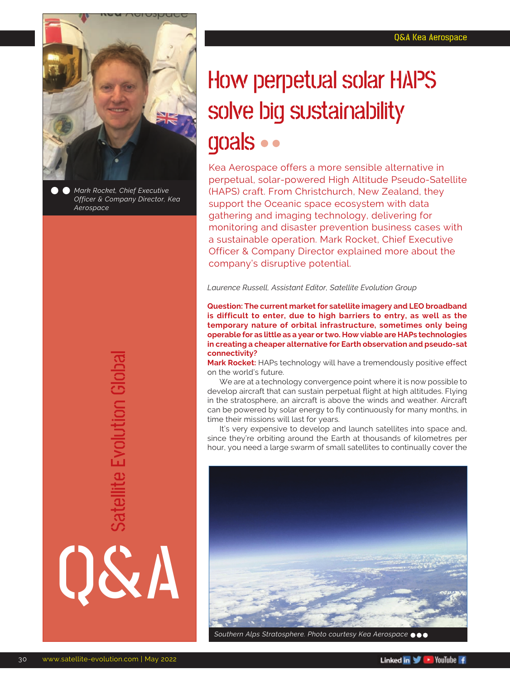

*Mark Rocket, Chief Executive Officer & Company Director, Kea Aerospace*

> Satellite Evolution Global Satellite Evolution Global

Q&A

## How perpetual solar HAPS solve big sustainability goals

Kea Aerospace offers a more sensible alternative in perpetual, solar-powered High Altitude Pseudo-Satellite (HAPS) craft. From Christchurch, New Zealand, they support the Oceanic space ecosystem with data gathering and imaging technology, delivering for monitoring and disaster prevention business cases with a sustainable operation. Mark Rocket, Chief Executive Officer & Company Director explained more about the company's disruptive potential.

*Laurence Russell, Assistant Editor, Satellite Evolution Group*

**Question: The current market for satellite imagery and LEO broadband is difficult to enter, due to high barriers to entry, as well as the temporary nature of orbital infrastructure, sometimes only being operable for as little as a year or two. How viable are HAPs technologies in creating a cheaper alternative for Earth observation and pseudo-sat connectivity?**

**Mark Rocket:** HAPs technology will have a tremendously positive effect on the world's future.

We are at a technology convergence point where it is now possible to develop aircraft that can sustain perpetual flight at high altitudes. Flying in the stratosphere, an aircraft is above the winds and weather. Aircraft can be powered by solar energy to fly continuously for many months, in time their missions will last for years.

It's very expensive to develop and launch satellites into space and, since they're orbiting around the Earth at thousands of kilometres per hour, you need a large swarm of small satellites to continually cover the



*Southern Alps Stratosphere. Photo courtesy Kea Aerospace*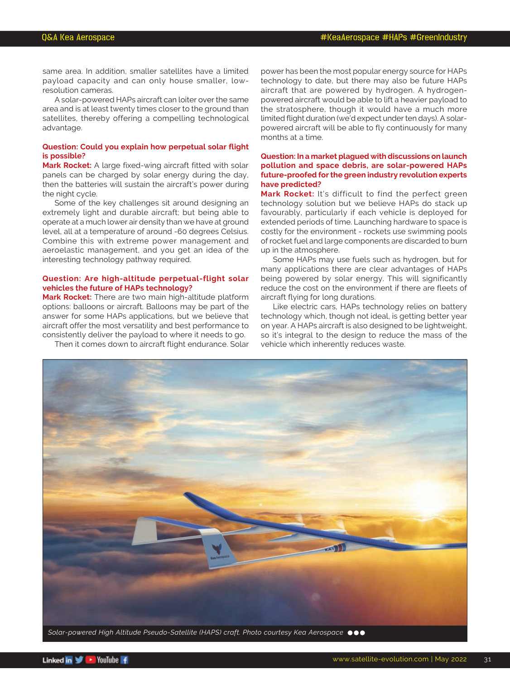same area. In addition, smaller satellites have a limited payload capacity and can only house smaller, lowresolution cameras.

A solar-powered HAPs aircraft can loiter over the same area and is at least twenty times closer to the ground than satellites, thereby offering a compelling technological advantage.

#### **Question: Could you explain how perpetual solar flight is possible?**

**Mark Rocket:** A large fixed-wing aircraft fitted with solar panels can be charged by solar energy during the day, then the batteries will sustain the aircraft's power during the night cycle.

Some of the key challenges sit around designing an extremely light and durable aircraft; but being able to operate at a much lower air density than we have at ground level, all at a temperature of around -60 degrees Celsius. Combine this with extreme power management and aeroelastic management, and you get an idea of the interesting technology pathway required.

#### **Question: Are high-altitude perpetual-flight solar vehicles the future of HAPs technology?**

**Mark Rocket:** There are two main high-altitude platform options: balloons or aircraft. Balloons may be part of the answer for some HAPs applications, but we believe that aircraft offer the most versatility and best performance to consistently deliver the payload to where it needs to go.

Then it comes down to aircraft flight endurance. Solar

power has been the most popular energy source for HAPs technology to date, but there may also be future HAPs aircraft that are powered by hydrogen. A hydrogenpowered aircraft would be able to lift a heavier payload to the stratosphere, though it would have a much more limited flight duration (we'd expect under ten days). A solarpowered aircraft will be able to fly continuously for many months at a time.

#### **Question: In a market plagued with discussions on launch pollution and space debris, are solar-powered HAPs future-proofed for the green industry revolution experts have predicted?**

**Mark Rocket:** It's difficult to find the perfect green technology solution but we believe HAPs do stack up favourably, particularly if each vehicle is deployed for extended periods of time. Launching hardware to space is costly for the environment - rockets use swimming pools of rocket fuel and large components are discarded to burn up in the atmosphere.

Some HAPs may use fuels such as hydrogen, but for many applications there are clear advantages of HAPs being powered by solar energy. This will significantly reduce the cost on the environment if there are fleets of aircraft flying for long durations.

Like electric cars, HAPs technology relies on battery technology which, though not ideal, is getting better year on year. A HAPs aircraft is also designed to be lightweight, so it's integral to the design to reduce the mass of the vehicle which inherently reduces waste.

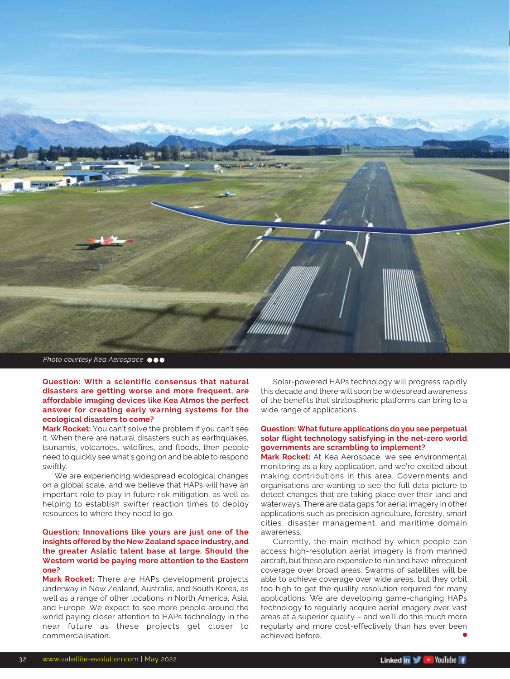

**Question: With a scientific consensus that natural disasters are getting worse and more frequent, are affordable imaging devices like Kea Atmos the perfect answer for creating early warning systems for the ecological disasters to come?**

**Mark Rocket:** You can't solve the problem if you can't see it. When there are natural disasters such as earthquakes, tsunamis, volcanoes, wildfires, and floods, then people need to quickly see what's going on and be able to respond swiftly.

We are experiencing widespread ecological changes on a global scale, and we believe that HAPs will have an important role to play in future risk mitigation, as well as helping to establish swifter reaction times to deploy resources to where they need to go.

#### **Question: Innovations like yours are just one of the insights offered by the New Zealand space industry, and the greater Asiatic talent base at large. Should the Western world be paying more attention to the Eastern one?**

**Mark Rocket:** There are HAPs development projects underway in New Zealand, Australia, and South Korea, as well as a range of other locations in North America, Asia, and Europe. We expect to see more people around the world paying closer attention to HAPs technology in the near future as these projects get closer to commercialisation.

Solar-powered HAPs technology will progress rapidly this decade and there will soon be widespread awareness of the benefits that stratospheric platforms can bring to a wide range of applications.

#### **Question: What future applications do you see perpetual solar flight technology satisfying in the net-zero world governments are scrambling to implement?**

**Mark Rocket:** At Kea Aerospace, we see environmental monitoring as a key application, and we're excited about making contributions in this area. Governments and organisations are wanting to see the full data picture to detect changes that are taking place over their land and waterways. There are data gaps for aerial imagery in other applications such as precision agriculture, forestry, smart cities, disaster management, and maritime domain awareness.

Currently, the main method by which people can access high-resolution aerial imagery is from manned aircraft, but these are expensive to run and have infrequent coverage over broad areas. Swarms of satellites will be able to achieve coverage over wide areas, but they orbit too high to get the quality resolution required for many applications. We are developing game-changing HAPs technology to regularly acquire aerial imagery over vast areas at a superior quality – and we'll do this much more regularly and more cost-effectively than has ever been achieved before.